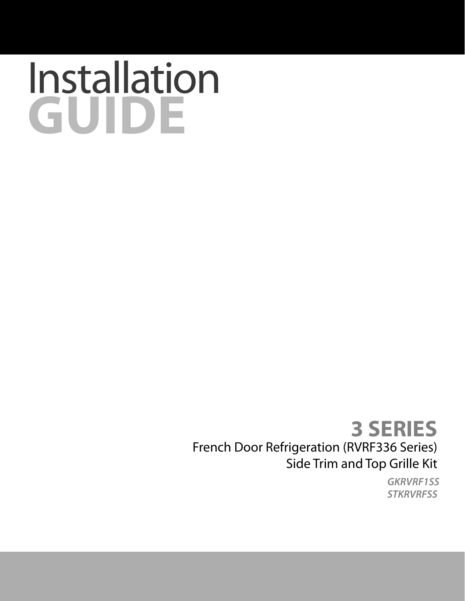## Installation **GUIDE**

## **3 SERIES** French Door Refrigeration (RVRF336 Series) Side Trim and Top Grille Kit

*GKRVRF***1***SS STKRVRFSS*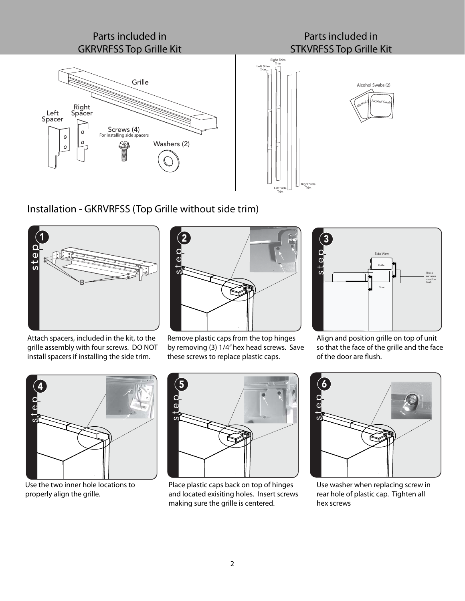

Installation - GKRVRFSS (Top Grille without side trim)



Attach spacers, included in the kit, to the grille assembly with four screws. DO NOT install spacers if installing the side trim.



Remove plastic caps from the top hinges by removing (3) 1/4" hex head screws. Save these screws to replace plastic caps.



Align and position grille on top of unit so that the face of the grille and the face of the door are flush.



Use the two inner hole locations to properly align the grille.



Place plastic caps back on top of hinges and located exisiting holes. Insert screws making sure the grille is centered.



Use washer when replacing screw in rear hole of plastic cap. Tighten all hex screws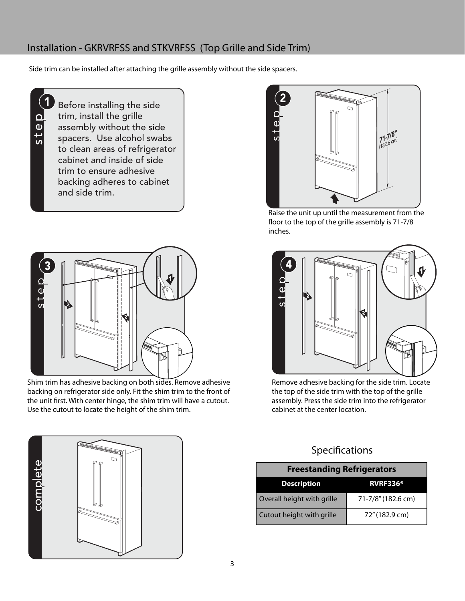## Installation - GKRVRFSS and STKVRFSS (Top Grille and Side Trim)

Side trim can be installed after attaching the grille assembly without the side spacers.

step

1

Before installing the side trim, install the grille assembly without the side spacers. Use alcohol swabs to clean areas of refrigerator cabinet and inside of side trim to ensure adhesive backing adheres to cabinet and side trim.



Shim trim has adhesive backing on both sides. Remove adhesive backing on refrigerator side only. Fit the shim trim to the front of the unit first. With center hinge, the shim trim will have a cutout. Use the cutout to locate the height of the shim trim.



Raise the unit up until the measurement from the floor to the top of the grille assembly is 71-7/8 inches.



Remove adhesive backing for the side trim. Locate the top of the side trim with the top of the grille assembly. Press the side trim into the refrigerator cabinet at the center location.

## Specifications

| <b>Freestanding Refrigerators</b> |                    |
|-----------------------------------|--------------------|
| <b>Description</b>                | <b>RVRF336*</b>    |
| Overall height with grille        | 71-7/8" (182.6 cm) |
| Cutout height with grille         | 72" (182.9 cm)     |